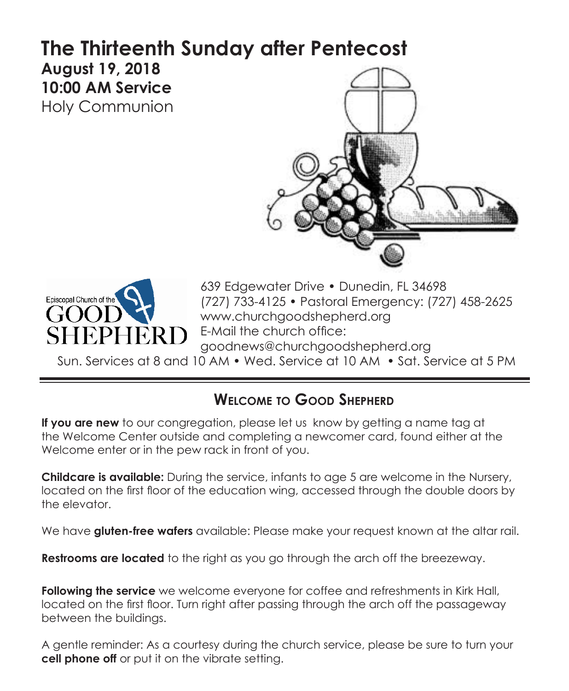# **The Thirteenth Sunday after Pentecost August 19, 2018 10:00 AM Service**

Holy Communion





639 Edgewater Drive • Dunedin, FL 34698 (727) 733-4125 • Pastoral Emergency: (727) 458-2625 www.churchgoodshepherd.org E-Mail the church office:

goodnews@churchgoodshepherd.org

Sun. Services at 8 and 10 AM • Wed. Service at 10 AM • Sat. Service at 5 PM

## **Welcome to Good Shepherd**

**If you are new** to our congregation, please let us know by getting a name tag at the Welcome Center outside and completing a newcomer card, found either at the Welcome enter or in the pew rack in front of you.

**Childcare is available:** During the service, infants to age 5 are welcome in the Nursery, located on the first floor of the education wing, accessed through the double doors by the elevator.

We have **gluten-free wafers** available: Please make your request known at the altar rail.

**Restrooms are located** to the right as you go through the arch off the breezeway.

**Following the service** we welcome everyone for coffee and refreshments in Kirk Hall, located on the first floor. Turn right after passing through the arch off the passageway between the buildings.

A gentle reminder: As a courtesy during the church service, please be sure to turn your **cell phone off** or put it on the vibrate setting.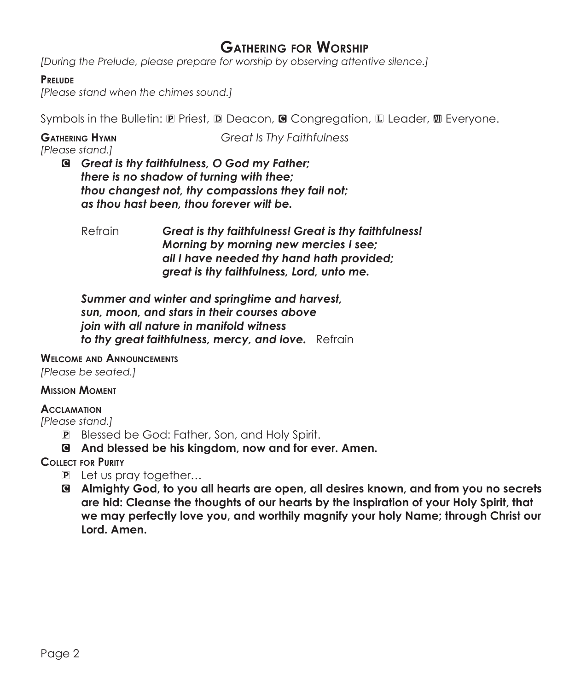## **Gathering for Worship**

*[During the Prelude, please prepare for worship by observing attentive silence.]*

### **Prelude**

*[Please stand when the chimes sound.]*

Symbols in the Bulletin:  $\mathbb D$  Priest,  $\mathbb D$  Deacon,  $\mathbb Q$  Congregation,  $\mathbb D$  Leader,  $\mathbb Q$  Everyone.

**Gathering Hymn** *Great Is Thy Faithfulness*

*[Please stand.]*

C *Great is thy faithfulness, O God my Father; there is no shadow of turning with thee; thou changest not, thy compassions they fail not; as thou hast been, thou forever wilt be.*

Refrain *Great is thy faithfulness! Great is thy faithfulness! Morning by morning new mercies I see; all I have needed thy hand hath provided; great is thy faithfulness, Lord, unto me.*

*Summer and winter and springtime and harvest, sun, moon, and stars in their courses above join with all nature in manifold witness to thy great faithfulness, mercy, and love.* Refrain

## **Welcome and Announcements**

*[Please be seated.]*

## **Mission Moment**

## **Acclamation**

*[Please stand.]*

- P Blessed be God: Father, Son, and Holy Spirit.
- C **And blessed be his kingdom, now and for ever. Amen.**

## **Collect for Purity**

- P Let us pray together…
- C **Almighty God, to you all hearts are open, all desires known, and from you no secrets are hid: Cleanse the thoughts of our hearts by the inspiration of your Holy Spirit, that we may perfectly love you, and worthily magnify your holy Name; through Christ our Lord. Amen.**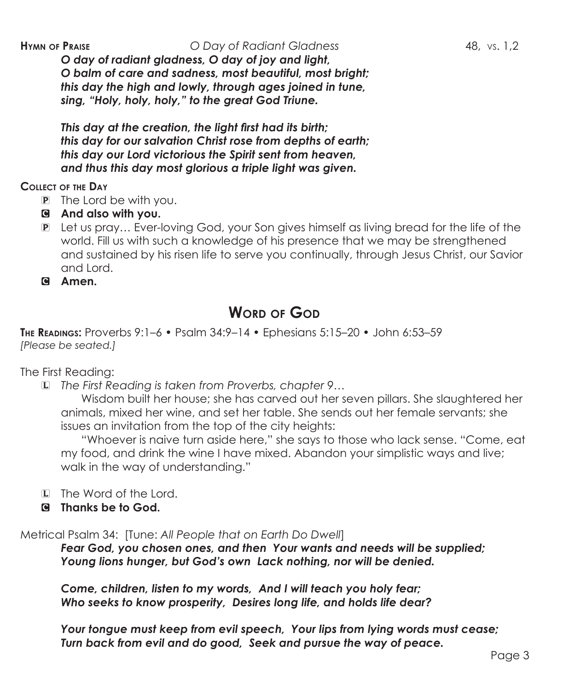*O day of radiant gladness, O day of joy and light, O balm of care and sadness, most beautiful, most bright; this day the high and lowly, through ages joined in tune, sing, "Holy, holy, holy," to the great God Triune.*

*This day at the creation, the light first had its birth; this day for our salvation Christ rose from depths of earth; this day our Lord victorious the Spirit sent from heaven, and thus this day most glorious a triple light was given.*

**Collect of the Day** 

- P The Lord be with you.
- C **And also with you.**
- P Let us pray… Ever-loving God, your Son gives himself as living bread for the life of the world. Fill us with such a knowledge of his presence that we may be strengthened and sustained by his risen life to serve you continually, through Jesus Christ, our Savior and Lord.

C **Amen.**

# **Word of God**

**The Readings:** Proverbs 9:1–6 • Psalm 34:9–14 • Ephesians 5:15–20 • John 6:53–59 *[Please be seated.]*

The First Reading:

L *The First Reading is taken from Proverbs, chapter 9…*

 Wisdom built her house; she has carved out her seven pillars. She slaughtered her animals, mixed her wine, and set her table. She sends out her female servants; she issues an invitation from the top of the city heights:

 "Whoever is naive turn aside here," she says to those who lack sense. "Come, eat my food, and drink the wine I have mixed. Abandon your simplistic ways and live; walk in the way of understanding."

- L The Word of the Lord.
- C **Thanks be to God.**

Metrical Psalm 34: [Tune: *All People that on Earth Do Dwell*]

*Fear God, you chosen ones, and then Your wants and needs will be supplied; Young lions hunger, but God's own Lack nothing, nor will be denied.*

*Come, children, listen to my words, And I will teach you holy fear; Who seeks to know prosperity, Desires long life, and holds life dear?*

*Your tongue must keep from evil speech, Your lips from lying words must cease; Turn back from evil and do good, Seek and pursue the way of peace.*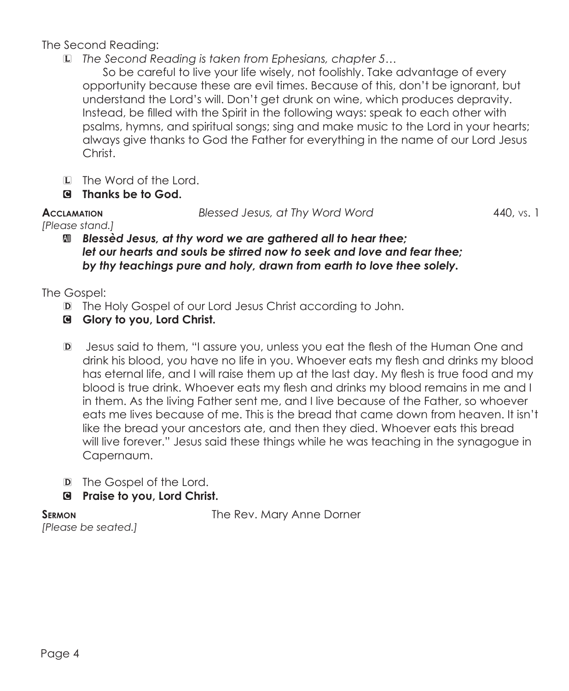The Second Reading:

L *The Second Reading is taken from Ephesians, chapter 5…*

So be careful to live your life wisely, not foolishly. Take advantage of every opportunity because these are evil times. Because of this, don't be ignorant, but understand the Lord's will. Don't get drunk on wine, which produces depravity. Instead, be filled with the Spirit in the following ways: speak to each other with psalms, hymns, and spiritual songs; sing and make music to the Lord in your hearts; always give thanks to God the Father for everything in the name of our Lord Jesus Christ.

- L The Word of the Lord.
- C **Thanks be to God.**

**Acclamation** *Blessed Jesus, at Thy Word Word* 440, vs. 1

*[Please stand.]*

 $\mathbf{M}$  Blessed Jesus, at thy word we are gathered all to hear thee;  *let our hearts and souls be stirred now to seek and love and fear thee; by thy teachings pure and holy, drawn from earth to love thee solely.*

The Gospel:

- D The Holy Gospel of our Lord Jesus Christ according to John.
- C **Glory to you, Lord Christ.**
- D Jesus said to them, "I assure you, unless you eat the flesh of the Human One and drink his blood, you have no life in you. Whoever eats my flesh and drinks my blood has eternal life, and I will raise them up at the last day. My flesh is true food and my blood is true drink. Whoever eats my flesh and drinks my blood remains in me and I in them. As the living Father sent me, and I live because of the Father, so whoever eats me lives because of me. This is the bread that came down from heaven. It isn't like the bread your ancestors ate, and then they died. Whoever eats this bread will live forever." Jesus said these things while he was teaching in the synagogue in Capernaum.
- D The Gospel of the Lord.
- C **Praise to you, Lord Christ.**

**SERMON** The Rev. Mary Anne Dorner

```
[Please be seated.]
```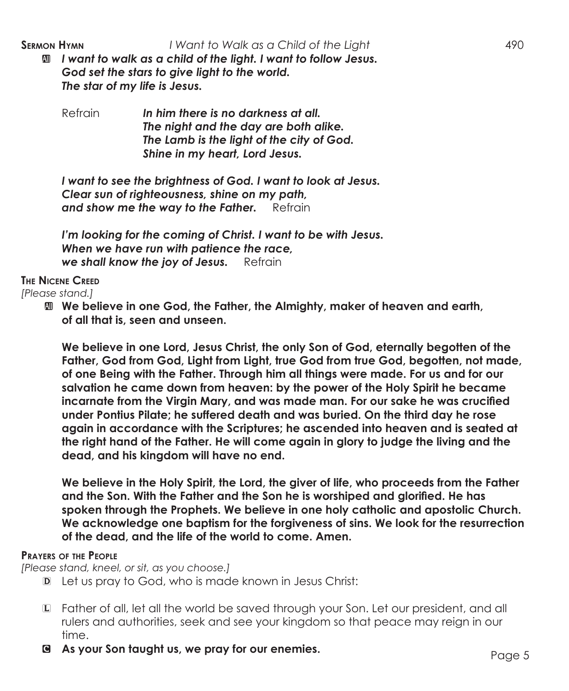a *I want to walk as a child of the light. I want to follow Jesus. God set the stars to give light to the world. The star of my life is Jesus.*

Refrain *In him there is no darkness at all. The night and the day are both alike. The Lamb is the light of the city of God. Shine in my heart, Lord Jesus.*

*I want to see the brightness of God. I want to look at Jesus. Clear sun of righteousness, shine on my path,* **and show me the way to the Father.** Refrain

*I'm looking for the coming of Christ. I want to be with Jesus. When we have run with patience the race,* **we shall know the joy of Jesus.** Refrain

**The Nicene Creed**

*[Please stand.]*

 $\text{W}$  **We believe in one God, the Father, the Almighty, maker of heaven and earth, of all that is, seen and unseen.**

 **We believe in one Lord, Jesus Christ, the only Son of God, eternally begotten of the Father, God from God, Light from Light, true God from true God, begotten, not made, of one Being with the Father. Through him all things were made. For us and for our salvation he came down from heaven: by the power of the Holy Spirit he became incarnate from the Virgin Mary, and was made man. For our sake he was crucified under Pontius Pilate; he suffered death and was buried. On the third day he rose again in accordance with the Scriptures; he ascended into heaven and is seated at the right hand of the Father. He will come again in glory to judge the living and the dead, and his kingdom will have no end.**

 **We believe in the Holy Spirit, the Lord, the giver of life, who proceeds from the Father and the Son. With the Father and the Son he is worshiped and glorified. He has spoken through the Prophets. We believe in one holy catholic and apostolic Church. We acknowledge one baptism for the forgiveness of sins. We look for the resurrection of the dead, and the life of the world to come. Amen.**

## **Prayers of the People**

*[Please stand, kneel, or sit, as you choose.]*

- D Let us pray to God, who is made known in Jesus Christ:
- L Father of all, let all the world be saved through your Son. Let our president, and all rulers and authorities, seek and see your kingdom so that peace may reign in our time.
- C **As your Son taught us, we pray for our enemies.**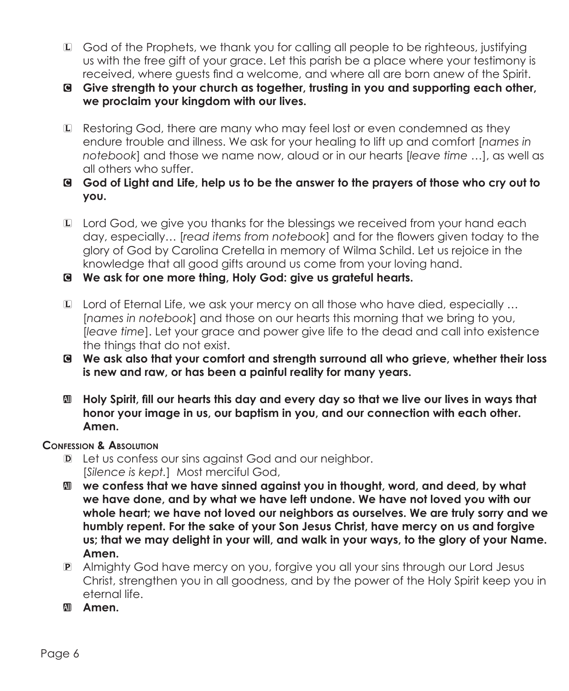- L God of the Prophets, we thank you for calling all people to be righteous, justifying us with the free gift of your grace. Let this parish be a place where your testimony is received, where guests find a welcome, and where all are born anew of the Spirit.
- G Give strength to your church as together, trusting in you and supporting each other, **we proclaim your kingdom with our lives.**
- L Restoring God, there are many who may feel lost or even condemned as they endure trouble and illness. We ask for your healing to lift up and comfort [*names in notebook*] and those we name now, aloud or in our hearts [*leave time …*], as well as all others who suffer.
- C **God of Light and Life, help us to be the answer to the prayers of those who cry out to you.**
- L Lord God, we give you thanks for the blessings we received from your hand each day, especially… [*read items from notebook*] and for the flowers given today to the glory of God by Carolina Cretella in memory of Wilma Schild. Let us rejoice in the knowledge that all good gifts around us come from your loving hand.
- C **We ask for one more thing, Holy God: give us grateful hearts.**
- L Lord of Eternal Life, we ask your mercy on all those who have died, especially … [*names in notebook*] and those on our hearts this morning that we bring to you, [*leave time*]. Let your grace and power give life to the dead and call into existence the things that do not exist.
- C **We ask also that your comfort and strength surround all who grieve, whether their loss is new and raw, or has been a painful reality for many years.**
- **In Holy Spirit, fill our hearts this day and every day so that we live our lives in ways that honor your image in us, our baptism in you, and our connection with each other. Amen.**

## **CONFESSION & ABSOLUTION**

- D Let us confess our sins against God and our neighbor. [*Silence is kept.*] Most merciful God,
- a **we confess that we have sinned against you in thought, word, and deed, by what we have done, and by what we have left undone. We have not loved you with our whole heart; we have not loved our neighbors as ourselves. We are truly sorry and we humbly repent. For the sake of your Son Jesus Christ, have mercy on us and forgive us; that we may delight in your will, and walk in your ways, to the glory of your Name. Amen.**
- P Almighty God have mercy on you, forgive you all your sins through our Lord Jesus Christ, strengthen you in all goodness, and by the power of the Holy Spirit keep you in eternal life.
- **M** Amen.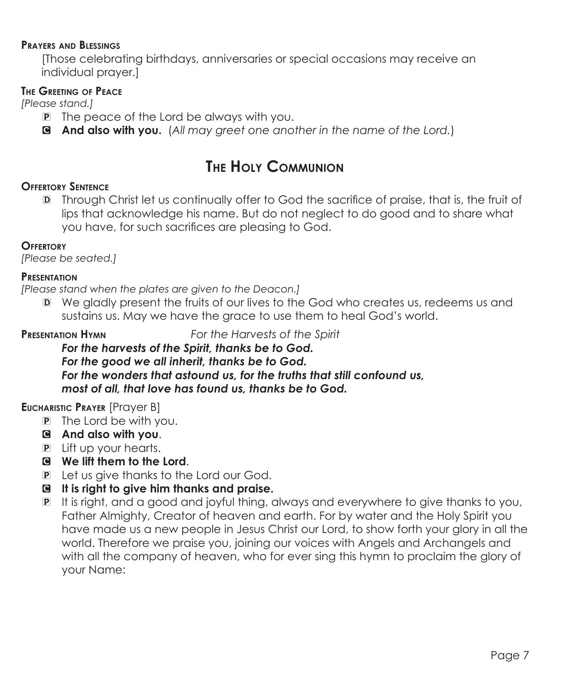## **Prayers and Blessings**

[Those celebrating birthdays, anniversaries or special occasions may receive an individual prayer.]

## **The Greeting of Peace**

*[Please stand.]*

- P The peace of the Lord be always with you.
- C **And also with you.** (*All may greet one another in the name of the Lord.*)

## **The Holy Communion**

## **Offertory Sentence**

D Through Christ let us continually offer to God the sacrifice of praise, that is, the fruit of lips that acknowledge his name. But do not neglect to do good and to share what you have, for such sacrifices are pleasing to God.

## **Offertory**

*[Please be seated.]*

## **Presentation**

*[Please stand when the plates are given to the Deacon.]*

D We gladly present the fruits of our lives to the God who creates us, redeems us and sustains us. May we have the grace to use them to heal God's world.

**Presentation Hymn** *For the Harvests of the Spirit*

*For the harvests of the Spirit, thanks be to God. For the good we all inherit, thanks be to God. For the wonders that astound us, for the truths that still confound us, most of all, that love has found us, thanks be to God.*

## **Eucharistic Prayer** [Prayer B]

- P The Lord be with you.
- C **And also with you**.
- P Lift up your hearts.
- C **We lift them to the Lord**.
- P Let us give thanks to the Lord our God.
- C **It is right to give him thanks and praise.**
- P It is right, and a good and joyful thing, always and everywhere to give thanks to you, Father Almighty, Creator of heaven and earth. For by water and the Holy Spirit you have made us a new people in Jesus Christ our Lord, to show forth your glory in all the world. Therefore we praise you, joining our voices with Angels and Archangels and with all the company of heaven, who for ever sing this hymn to proclaim the glory of your Name: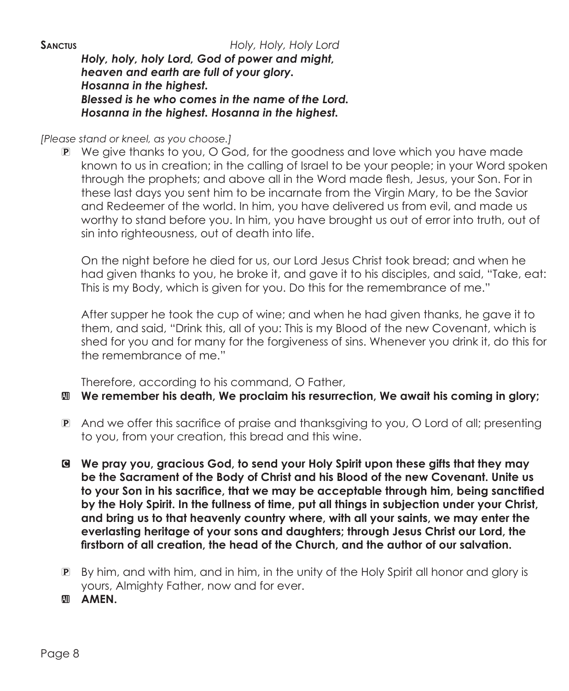*Holy, holy, holy Lord, God of power and might, heaven and earth are full of your glory. Hosanna in the highest. Blessed is he who comes in the name of the Lord. Hosanna in the highest. Hosanna in the highest.*

*[Please stand or kneel, as you choose.]*

P We give thanks to you, O God, for the goodness and love which you have made known to us in creation; in the calling of Israel to be your people; in your Word spoken through the prophets; and above all in the Word made flesh, Jesus, your Son. For in these last days you sent him to be incarnate from the Virgin Mary, to be the Savior and Redeemer of the world. In him, you have delivered us from evil, and made us worthy to stand before you. In him, you have brought us out of error into truth, out of sin into righteousness, out of death into life.

On the night before he died for us, our Lord Jesus Christ took bread; and when he had given thanks to you, he broke it, and gave it to his disciples, and said, "Take, eat: This is my Body, which is given for you. Do this for the remembrance of me."

 After supper he took the cup of wine; and when he had given thanks, he gave it to them, and said, "Drink this, all of you: This is my Blood of the new Covenant, which is shed for you and for many for the forgiveness of sins. Whenever you drink it, do this for the remembrance of me."

Therefore, according to his command, O Father,

- a **We remember his death, We proclaim his resurrection, We await his coming in glory;**
- P And we offer this sacrifice of praise and thanksgiving to you, O Lord of all; presenting to you, from your creation, this bread and this wine.
- C **We pray you, gracious God, to send your Holy Spirit upon these gifts that they may be the Sacrament of the Body of Christ and his Blood of the new Covenant. Unite us to your Son in his sacrifice, that we may be acceptable through him, being sanctified by the Holy Spirit. In the fullness of time, put all things in subjection under your Christ, and bring us to that heavenly country where, with all your saints, we may enter the everlasting heritage of your sons and daughters; through Jesus Christ our Lord, the firstborn of all creation, the head of the Church, and the author of our salvation.**
- P By him, and with him, and in him, in the unity of the Holy Spirit all honor and glory is yours, Almighty Father, now and for ever.
- **AMEN.**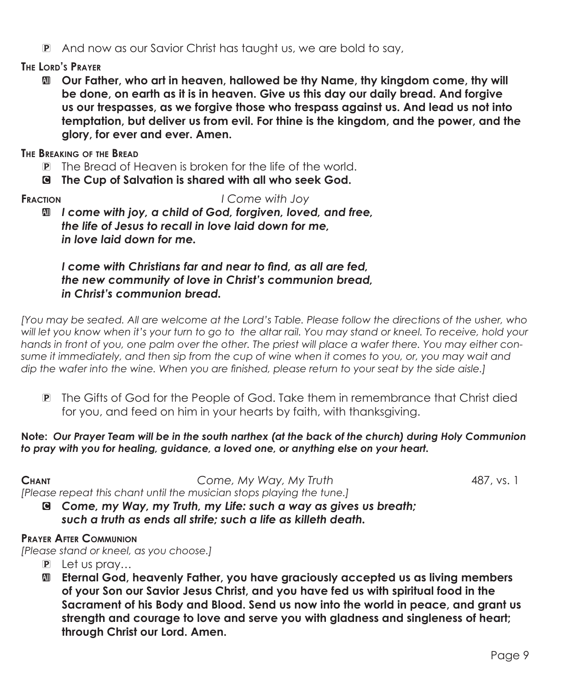P And now as our Savior Christ has taught us, we are bold to say,

**The Lord's Prayer**

a **Our Father, who art in heaven, hallowed be thy Name, thy kingdom come, thy will be done, on earth as it is in heaven. Give us this day our daily bread. And forgive us our trespasses, as we forgive those who trespass against us. And lead us not into temptation, but deliver us from evil. For thine is the kingdom, and the power, and the glory, for ever and ever. Amen.**

**The Breaking of the Bread**

- P The Bread of Heaven is broken for the life of the world.
- C **The Cup of Salvation is shared with all who seek God.**

**Fraction** *I Come with Joy*

a *I come with joy, a child of God, forgiven, loved, and free, the life of Jesus to recall in love laid down for me, in love laid down for me.*

*I come with Christians far and near to find, as all are fed, the new community of love in Christ's communion bread, in Christ's communion bread.*

*[You may be seated. All are welcome at the Lord's Table. Please follow the directions of the usher, who*  will let you know when it's your turn to go to the altar rail. You may stand or kneel. To receive, hold your *hands in front of you, one palm over the other. The priest will place a wafer there. You may either consume it immediately, and then sip from the cup of wine when it comes to you, or, you may wait and dip the wafer into the wine. When you are finished, please return to your seat by the side aisle.]*

P The Gifts of God for the People of God. Take them in remembrance that Christ died for you, and feed on him in your hearts by faith, with thanksgiving.

**Note:** *Our Prayer Team will be in the south narthex (at the back of the church) during Holy Communion to pray with you for healing, guidance, a loved one, or anything else on your heart.* 

**Chant** *Come, My Way, My Truth* 487, vs. 1

*[Please repeat this chant until the musician stops playing the tune.]*

C *Come, my Way, my Truth, my Life: such a way as gives us breath; such a truth as ends all strife; such a life as killeth death.*

## **Prayer After Communion**

*[Please stand or kneel, as you choose.]*

- P Let us pray…
- a **Eternal God, heavenly Father, you have graciously accepted us as living members of your Son our Savior Jesus Christ, and you have fed us with spiritual food in the Sacrament of his Body and Blood. Send us now into the world in peace, and grant us strength and courage to love and serve you with gladness and singleness of heart; through Christ our Lord. Amen.**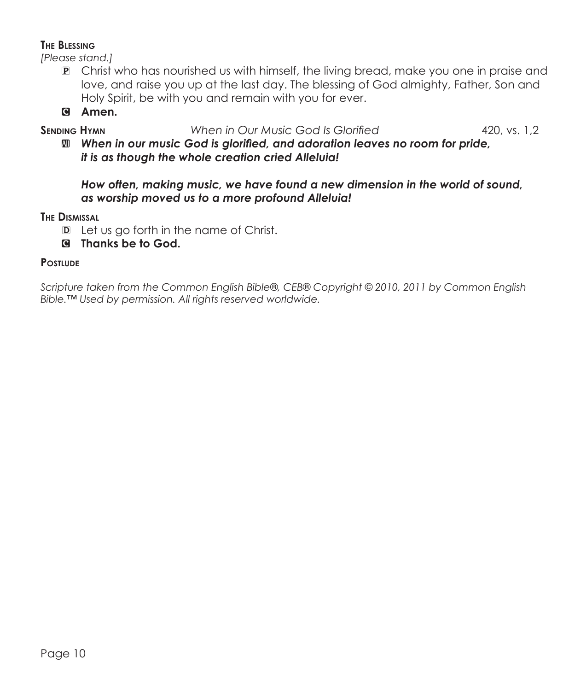## **The Blessing**

*[Please stand.]*

- P Christ who has nourished us with himself, the living bread, make you one in praise and love, and raise you up at the last day. The blessing of God almighty, Father, Son and Holy Spirit, be with you and remain with you for ever.
- C **Amen.**

**SENDING HYMN** *When in Our Music God Is Glorified* **420, vs. 1,2** 

## a *When in our music God is glorified, and adoration leaves no room for pride, it is as though the whole creation cried Alleluia!*

## *How often, making music, we have found a new dimension in the world of sound, as worship moved us to a more profound Alleluia!*

**The Dismissal**

- D Let us go forth in the name of Christ.
- C **Thanks be to God.**

## **POSTLUDE**

*Scripture taken from the Common English Bible®, CEB® Copyright © 2010, 2011 by Common English Bible.™ Used by permission. All rights reserved worldwide.*